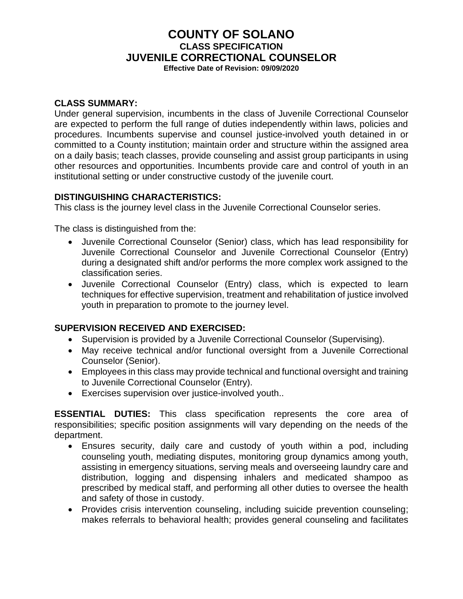# **COUNTY OF SOLANO CLASS SPECIFICATION JUVENILE CORRECTIONAL COUNSELOR**

**Effective Date of Revision: 09/09/2020**

#### **CLASS SUMMARY:**

Under general supervision, incumbents in the class of Juvenile Correctional Counselor are expected to perform the full range of duties independently within laws, policies and procedures. Incumbents supervise and counsel justice-involved youth detained in or committed to a County institution; maintain order and structure within the assigned area on a daily basis; teach classes, provide counseling and assist group participants in using other resources and opportunities. Incumbents provide care and control of youth in an institutional setting or under constructive custody of the juvenile court.

#### **DISTINGUISHING CHARACTERISTICS:**

This class is the journey level class in the Juvenile Correctional Counselor series.

The class is distinguished from the:

- Juvenile Correctional Counselor (Senior) class, which has lead responsibility for Juvenile Correctional Counselor and Juvenile Correctional Counselor (Entry) during a designated shift and/or performs the more complex work assigned to the classification series.
- Juvenile Correctional Counselor (Entry) class, which is expected to learn techniques for effective supervision, treatment and rehabilitation of justice involved youth in preparation to promote to the journey level.

#### **SUPERVISION RECEIVED AND EXERCISED:**

- Supervision is provided by a Juvenile Correctional Counselor (Supervising).
- May receive technical and/or functional oversight from a Juvenile Correctional Counselor (Senior).
- Employees in this class may provide technical and functional oversight and training to Juvenile Correctional Counselor (Entry).
- Exercises supervision over justice-involved youth..

**ESSENTIAL DUTIES:** This class specification represents the core area of responsibilities; specific position assignments will vary depending on the needs of the department.

- Ensures security, daily care and custody of youth within a pod, including counseling youth, mediating disputes, monitoring group dynamics among youth, assisting in emergency situations, serving meals and overseeing laundry care and distribution, logging and dispensing inhalers and medicated shampoo as prescribed by medical staff, and performing all other duties to oversee the health and safety of those in custody.
- Provides crisis intervention counseling, including suicide prevention counseling; makes referrals to behavioral health; provides general counseling and facilitates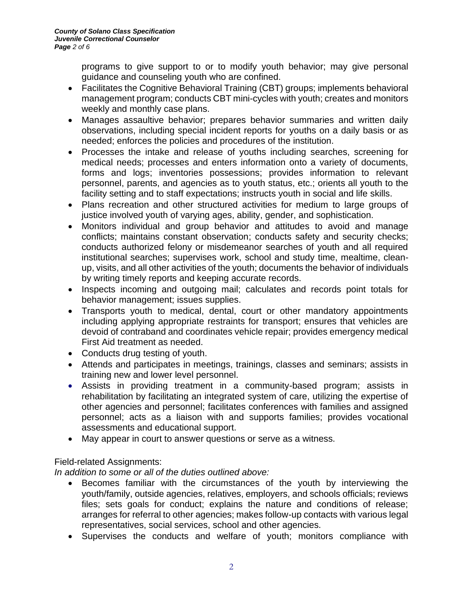programs to give support to or to modify youth behavior; may give personal guidance and counseling youth who are confined.

- Facilitates the Cognitive Behavioral Training (CBT) groups; implements behavioral management program; conducts CBT mini-cycles with youth; creates and monitors weekly and monthly case plans.
- Manages assaultive behavior; prepares behavior summaries and written daily observations, including special incident reports for youths on a daily basis or as needed; enforces the policies and procedures of the institution.
- Processes the intake and release of youths including searches, screening for medical needs; processes and enters information onto a variety of documents, forms and logs; inventories possessions; provides information to relevant personnel, parents, and agencies as to youth status, etc.; orients all youth to the facility setting and to staff expectations; instructs youth in social and life skills.
- Plans recreation and other structured activities for medium to large groups of justice involved youth of varying ages, ability, gender, and sophistication.
- Monitors individual and group behavior and attitudes to avoid and manage conflicts; maintains constant observation; conducts safety and security checks; conducts authorized felony or misdemeanor searches of youth and all required institutional searches; supervises work, school and study time, mealtime, cleanup, visits, and all other activities of the youth; documents the behavior of individuals by writing timely reports and keeping accurate records.
- Inspects incoming and outgoing mail; calculates and records point totals for behavior management; issues supplies.
- Transports youth to medical, dental, court or other mandatory appointments including applying appropriate restraints for transport; ensures that vehicles are devoid of contraband and coordinates vehicle repair; provides emergency medical First Aid treatment as needed.
- Conducts drug testing of youth.
- Attends and participates in meetings, trainings, classes and seminars; assists in training new and lower level personnel.
- Assists in providing treatment in a community-based program; assists in rehabilitation by facilitating an integrated system of care, utilizing the expertise of other agencies and personnel; facilitates conferences with families and assigned personnel; acts as a liaison with and supports families; provides vocational assessments and educational support.
- May appear in court to answer questions or serve as a witness.

# Field-related Assignments:

*In addition to some or all of the duties outlined above:*

- Becomes familiar with the circumstances of the youth by interviewing the youth/family, outside agencies, relatives, employers, and schools officials; reviews files; sets goals for conduct; explains the nature and conditions of release; arranges for referral to other agencies; makes follow-up contacts with various legal representatives, social services, school and other agencies.
- Supervises the conducts and welfare of youth; monitors compliance with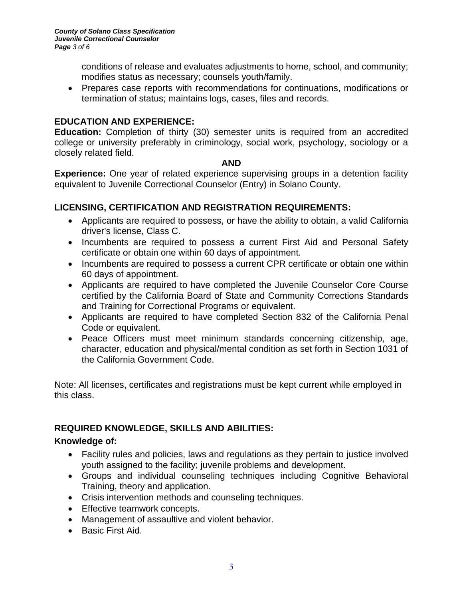conditions of release and evaluates adjustments to home, school, and community; modifies status as necessary; counsels youth/family.

• Prepares case reports with recommendations for continuations, modifications or termination of status; maintains logs, cases, files and records.

### **EDUCATION AND EXPERIENCE:**

**Education:** Completion of thirty (30) semester units is required from an accredited college or university preferably in criminology, social work, psychology, sociology or a closely related field.

**AND**

**Experience:** One year of related experience supervising groups in a detention facility equivalent to Juvenile Correctional Counselor (Entry) in Solano County.

# **LICENSING, CERTIFICATION AND REGISTRATION REQUIREMENTS:**

- Applicants are required to possess, or have the ability to obtain, a valid California driver's license, Class C.
- Incumbents are required to possess a current First Aid and Personal Safety certificate or obtain one within 60 days of appointment.
- Incumbents are required to possess a current CPR certificate or obtain one within 60 days of appointment.
- Applicants are required to have completed the Juvenile Counselor Core Course certified by the California Board of State and Community Corrections Standards and Training for Correctional Programs or equivalent.
- Applicants are required to have completed Section 832 of the California Penal Code or equivalent.
- Peace Officers must meet minimum standards concerning citizenship, age, character, education and physical/mental condition as set forth in Section 1031 of the California Government Code.

Note: All licenses, certificates and registrations must be kept current while employed in this class.

# **REQUIRED KNOWLEDGE, SKILLS AND ABILITIES:**

### **Knowledge of:**

- Facility rules and policies, laws and regulations as they pertain to justice involved youth assigned to the facility; juvenile problems and development.
- Groups and individual counseling techniques including Cognitive Behavioral Training, theory and application.
- Crisis intervention methods and counseling techniques.
- Effective teamwork concepts.
- Management of assaultive and violent behavior.
- Basic First Aid.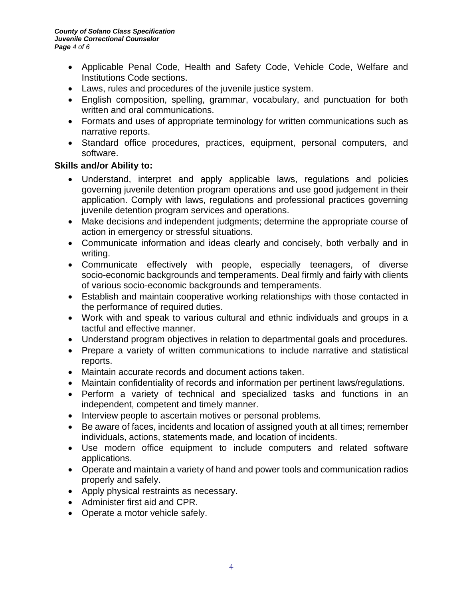- Applicable Penal Code, Health and Safety Code, Vehicle Code, Welfare and Institutions Code sections.
- Laws, rules and procedures of the juvenile justice system.
- English composition, spelling, grammar, vocabulary, and punctuation for both written and oral communications.
- Formats and uses of appropriate terminology for written communications such as narrative reports.
- Standard office procedures, practices, equipment, personal computers, and software.

### **Skills and/or Ability to:**

- Understand, interpret and apply applicable laws, regulations and policies governing juvenile detention program operations and use good judgement in their application. Comply with laws, regulations and professional practices governing juvenile detention program services and operations.
- Make decisions and independent judgments; determine the appropriate course of action in emergency or stressful situations.
- Communicate information and ideas clearly and concisely, both verbally and in writing.
- Communicate effectively with people, especially teenagers, of diverse socio-economic backgrounds and temperaments. Deal firmly and fairly with clients of various socio-economic backgrounds and temperaments.
- Establish and maintain cooperative working relationships with those contacted in the performance of required duties.
- Work with and speak to various cultural and ethnic individuals and groups in a tactful and effective manner.
- Understand program objectives in relation to departmental goals and procedures.
- Prepare a variety of written communications to include narrative and statistical reports.
- Maintain accurate records and document actions taken.
- Maintain confidentiality of records and information per pertinent laws/regulations.
- Perform a variety of technical and specialized tasks and functions in an independent, competent and timely manner.
- Interview people to ascertain motives or personal problems.
- Be aware of faces, incidents and location of assigned youth at all times; remember individuals, actions, statements made, and location of incidents.
- Use modern office equipment to include computers and related software applications.
- Operate and maintain a variety of hand and power tools and communication radios properly and safely.
- Apply physical restraints as necessary.
- Administer first aid and CPR.
- Operate a motor vehicle safely.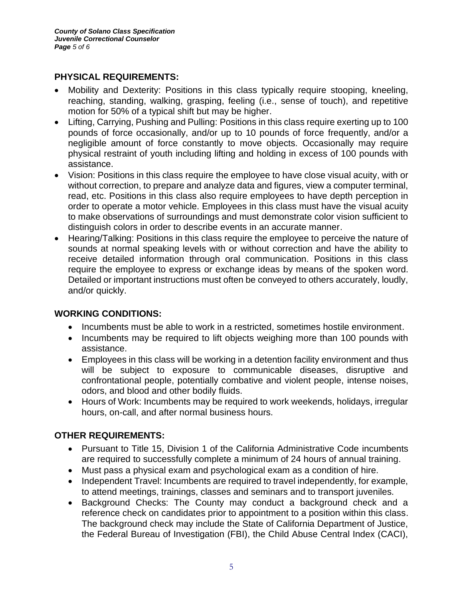### **PHYSICAL REQUIREMENTS:**

- Mobility and Dexterity: Positions in this class typically require stooping, kneeling, reaching, standing, walking, grasping, feeling (i.e., sense of touch), and repetitive motion for 50% of a typical shift but may be higher.
- Lifting, Carrying, Pushing and Pulling: Positions in this class require exerting up to 100 pounds of force occasionally, and/or up to 10 pounds of force frequently, and/or a negligible amount of force constantly to move objects. Occasionally may require physical restraint of youth including lifting and holding in excess of 100 pounds with assistance.
- Vision: Positions in this class require the employee to have close visual acuity, with or without correction, to prepare and analyze data and figures, view a computer terminal, read, etc. Positions in this class also require employees to have depth perception in order to operate a motor vehicle. Employees in this class must have the visual acuity to make observations of surroundings and must demonstrate color vision sufficient to distinguish colors in order to describe events in an accurate manner.
- Hearing/Talking: Positions in this class require the employee to perceive the nature of sounds at normal speaking levels with or without correction and have the ability to receive detailed information through oral communication. Positions in this class require the employee to express or exchange ideas by means of the spoken word. Detailed or important instructions must often be conveyed to others accurately, loudly, and/or quickly.

# **WORKING CONDITIONS:**

- Incumbents must be able to work in a restricted, sometimes hostile environment.
- Incumbents may be required to lift objects weighing more than 100 pounds with assistance.
- Employees in this class will be working in a detention facility environment and thus will be subject to exposure to communicable diseases, disruptive and confrontational people, potentially combative and violent people, intense noises, odors, and blood and other bodily fluids.
- Hours of Work: Incumbents may be required to work weekends, holidays, irregular hours, on-call, and after normal business hours.

### **OTHER REQUIREMENTS:**

- Pursuant to Title 15, Division 1 of the California Administrative Code incumbents are required to successfully complete a minimum of 24 hours of annual training.
- Must pass a physical exam and psychological exam as a condition of hire.
- Independent Travel: Incumbents are required to travel independently, for example, to attend meetings, trainings, classes and seminars and to transport juveniles.
- Background Checks: The County may conduct a background check and a reference check on candidates prior to appointment to a position within this class. The background check may include the State of California Department of Justice, the Federal Bureau of Investigation (FBI), the Child Abuse Central Index (CACI),